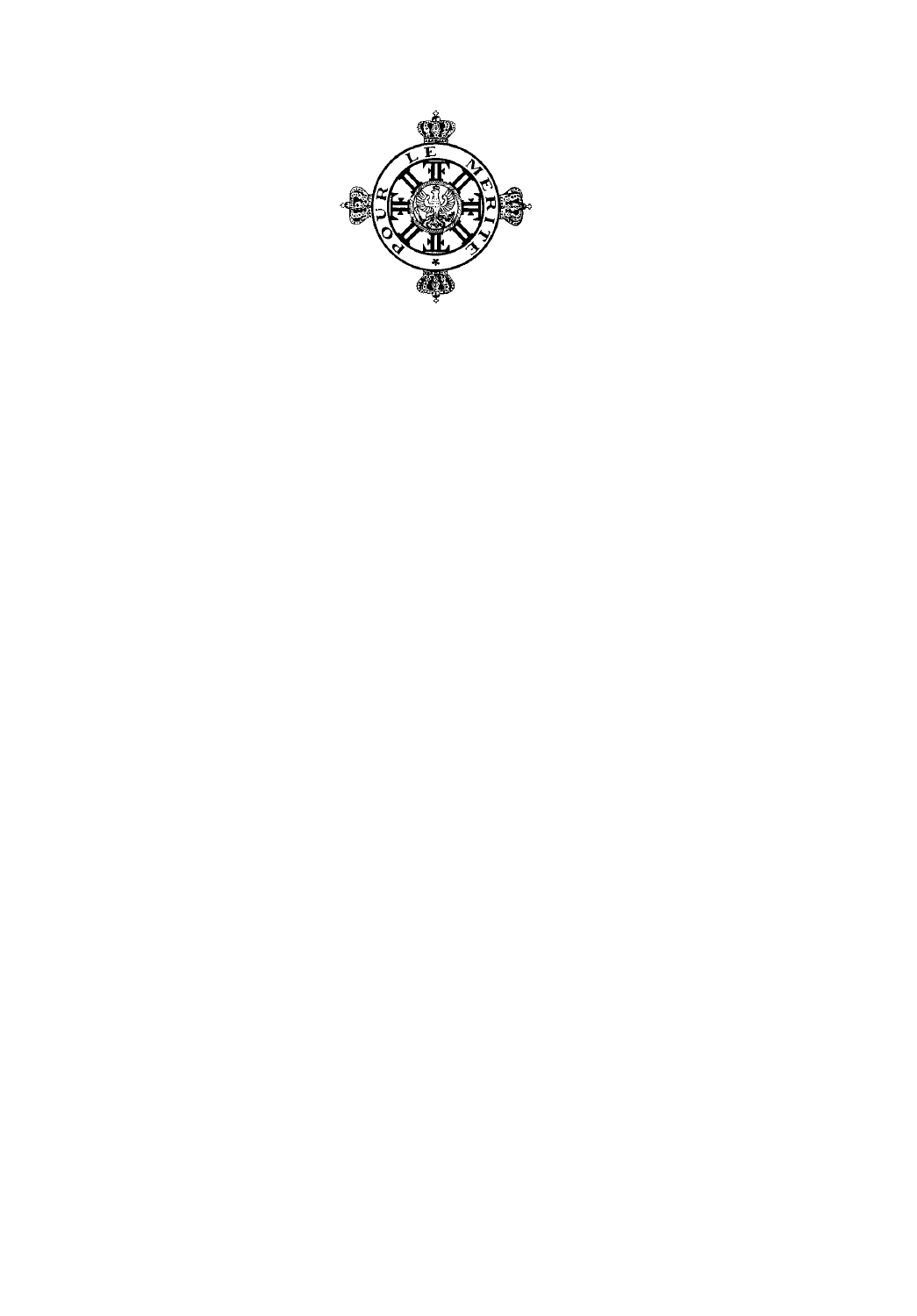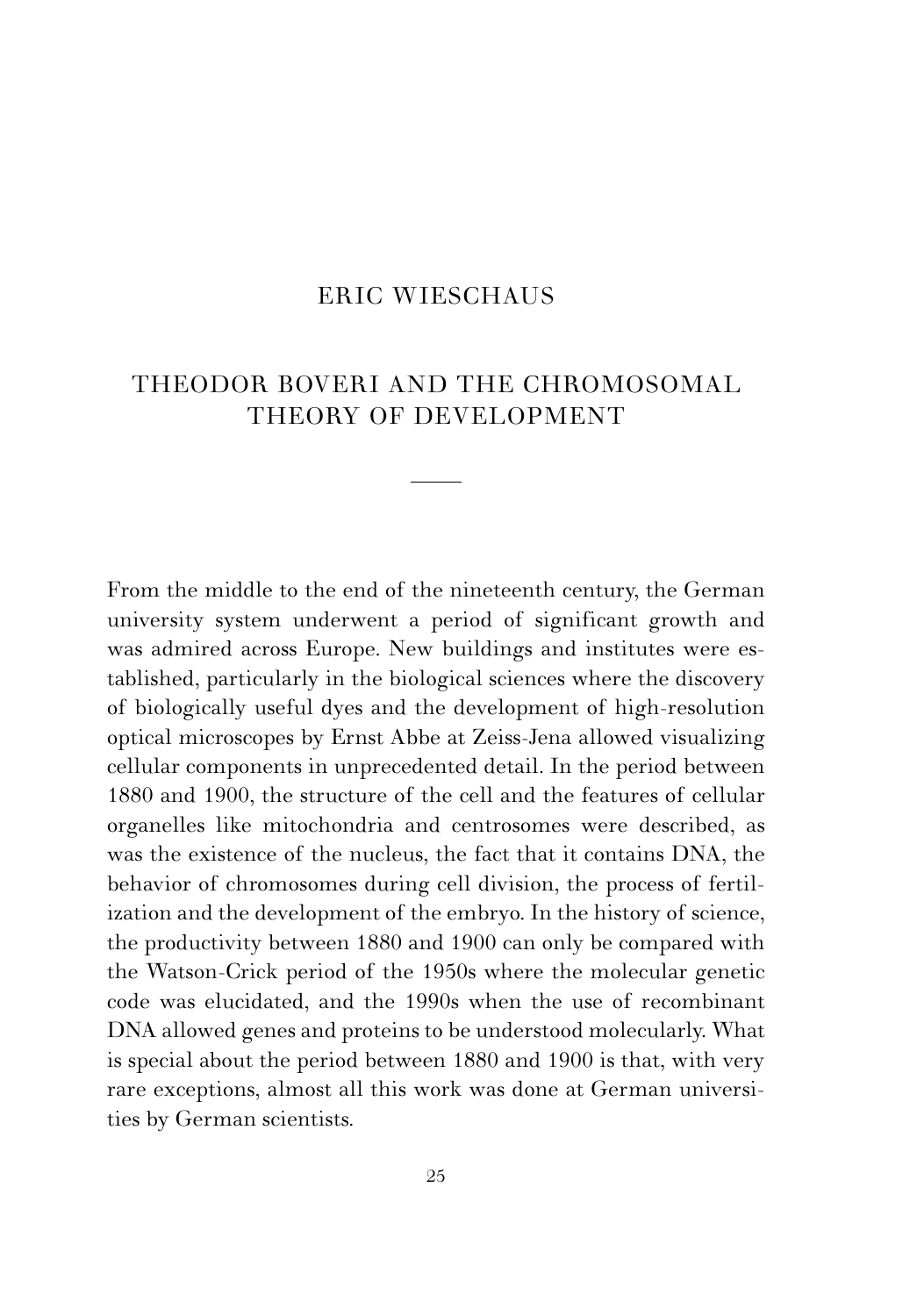## ERIC WIESCHAUS

## THEODOR BOVERI AND THE CHROMOSOMAL THEORY OF DEVELOPMENT

From the middle to the end of the nineteenth century, the German university system underwent a period of significant growth and was admired across Europe. New buildings and institutes were established, particularly in the biological sciences where the discovery of biologically useful dyes and the development of high-resolution optical microscopes by Ernst Abbe at Zeiss-Jena allowed visualizing cellular components in unprecedented detail. In the period between 1880 and 1900, the structure of the cell and the features of cellular organelles like mitochondria and centrosomes were described, as was the existence of the nucleus, the fact that it contains DNA, the behavior of chromosomes during cell division, the process of fertilization and the development of the embryo. In the history of science, the productivity between 1880 and 1900 can only be compared with the Watson-Crick period of the 1950s where the molecular genetic code was elucidated, and the 1990s when the use of recombinant DNA allowed genes and proteins to be understood molecularly. What is special about the period between 1880 and 1900 is that, with very rare exceptions, almost all this work was done at German universities by German scientists.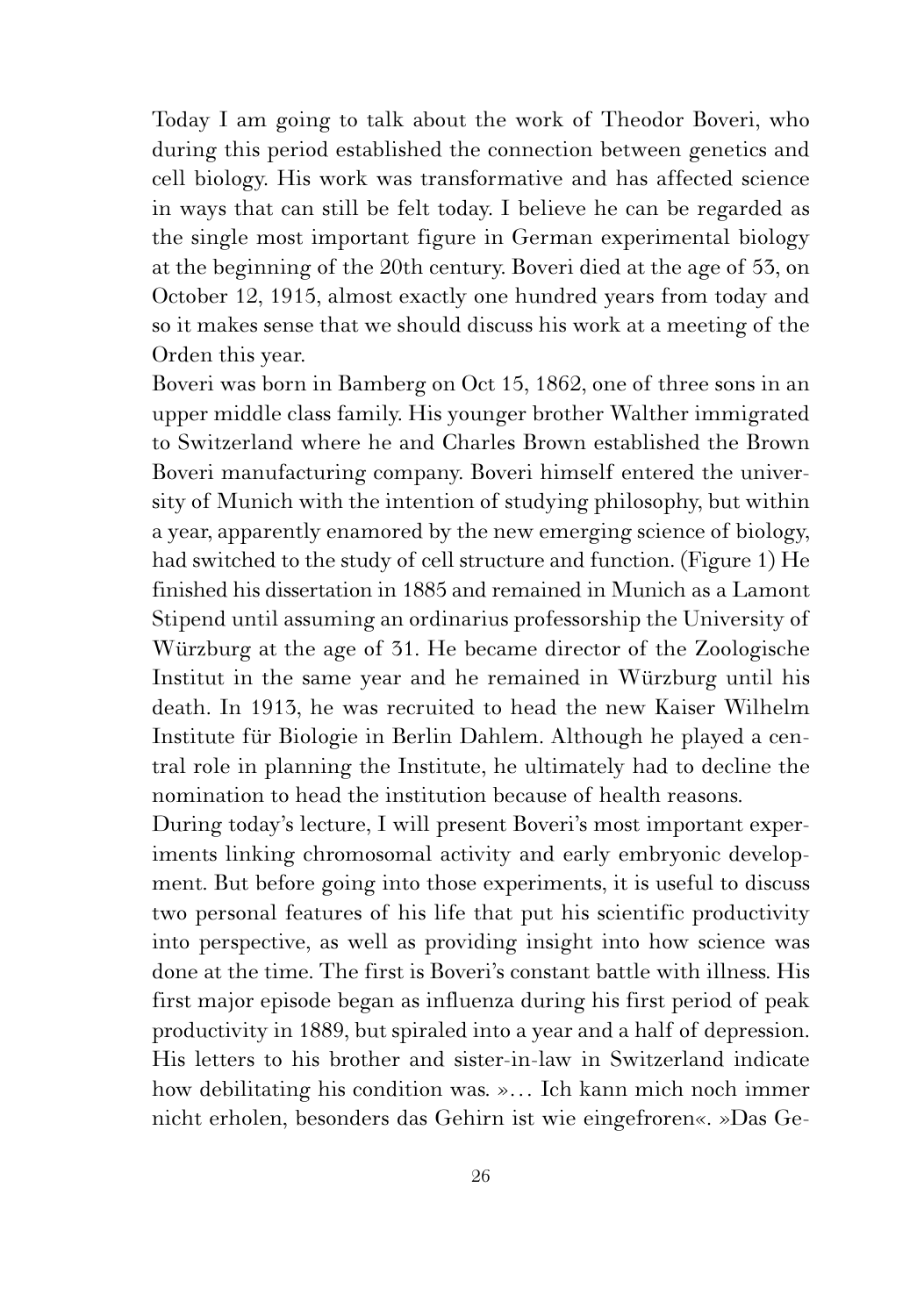Today I am going to talk about the work of Theodor Boveri, who during this period established the connection between genetics and cell biology. His work was transformative and has affected science in ways that can still be felt today. I believe he can be regarded as the single most important figure in German experimental biology at the beginning of the 20th century. Boveri died at the age of 53, on October 12, 1915, almost exactly one hundred years from today and so it makes sense that we should discuss his work at a meeting of the Orden this year.

Boveri was born in Bamberg on Oct 15, 1862, one of three sons in an upper middle class family. His younger brother Walther immigrated to Switzerland where he and Charles Brown established the Brown Boveri manufacturing company. Boveri himself entered the university of Munich with the intention of studying philosophy, but within a year, apparently enamored by the new emerging science of biology, had switched to the study of cell structure and function. (Figure 1) He finished his dissertation in 1885 and remained in Munich as a Lamont Stipend until assuming an ordinarius professorship the University of Würzburg at the age of 31. He became director of the Zoologische Institut in the same year and he remained in Würzburg until his death. In 1913, he was recruited to head the new Kaiser Wilhelm Institute für Biologie in Berlin Dahlem. Although he played a central role in planning the Institute, he ultimately had to decline the nomination to head the institution because of health reasons.

During today's lecture, I will present Boveri's most important experiments linking chromosomal activity and early embryonic development. But before going into those experiments, it is useful to discuss two personal features of his life that put his scientific productivity into perspective, as well as providing insight into how science was done at the time. The first is Boveri's constant battle with illness. His first major episode began as influenza during his first period of peak productivity in 1889, but spiraled into a year and a half of depression. His letters to his brother and sister-in-law in Switzerland indicate how debilitating his condition was. »… Ich kann mich noch immer nicht erholen, besonders das Gehirn ist wie eingefroren«. »Das Ge-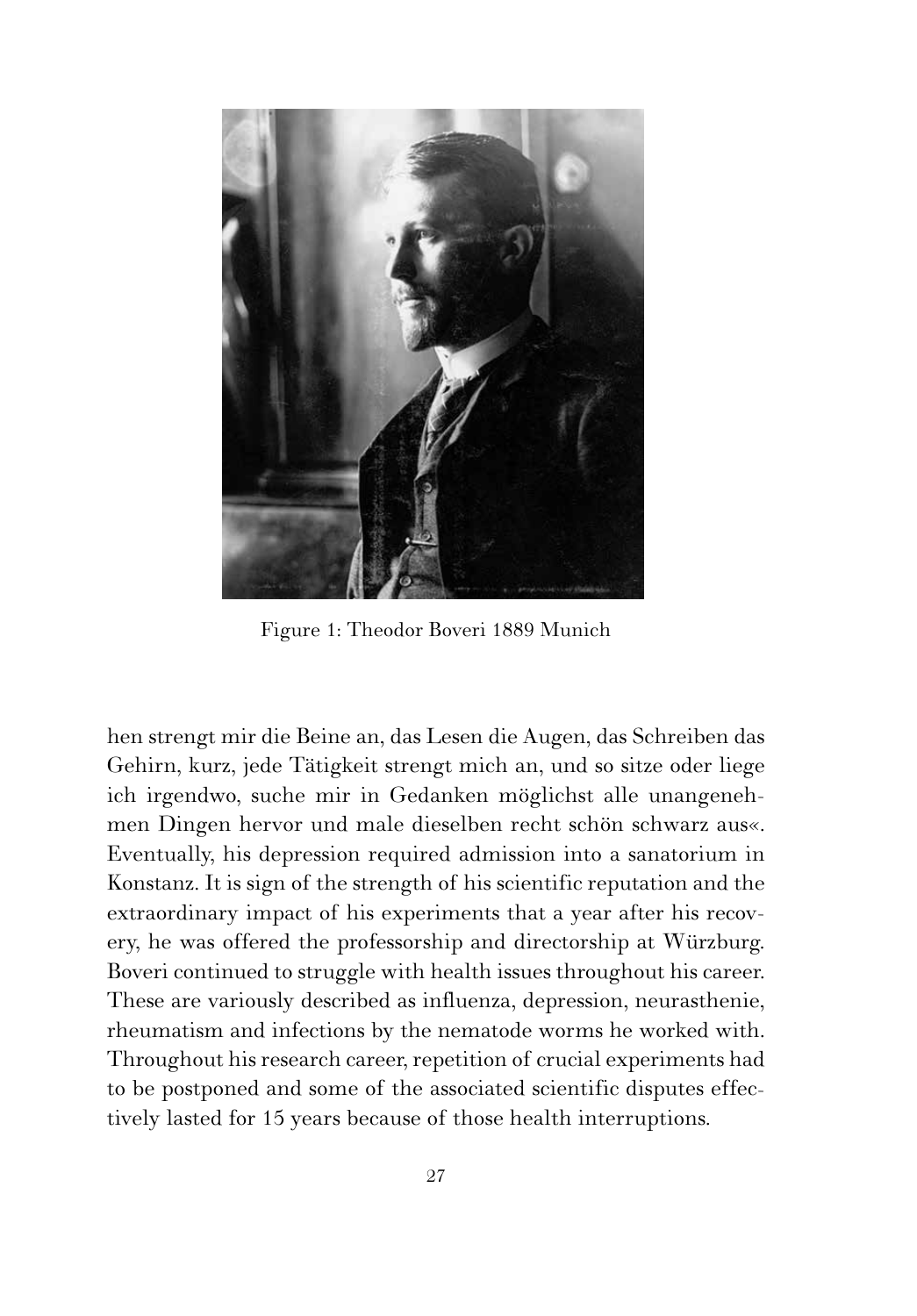

Figure 1: Theodor Boveri 1889 Munich

hen strengt mir die Beine an, das Lesen die Augen, das Schreiben das Gehirn, kurz, jede Tätigkeit strengt mich an, und so sitze oder liege ich irgendwo, suche mir in Gedanken möglichst alle unangenehmen Dingen hervor und male dieselben recht schön schwarz aus«. Eventually, his depression required admission into a sanatorium in Konstanz. It is sign of the strength of his scientific reputation and the extraordinary impact of his experiments that a year after his recovery, he was offered the professorship and directorship at Würzburg. Boveri continued to struggle with health issues throughout his career. These are variously described as influenza, depression, neurasthenie, rheumatism and infections by the nematode worms he worked with. Throughout his research career, repetition of crucial experiments had to be postponed and some of the associated scientific disputes effectively lasted for 15 years because of those health interruptions.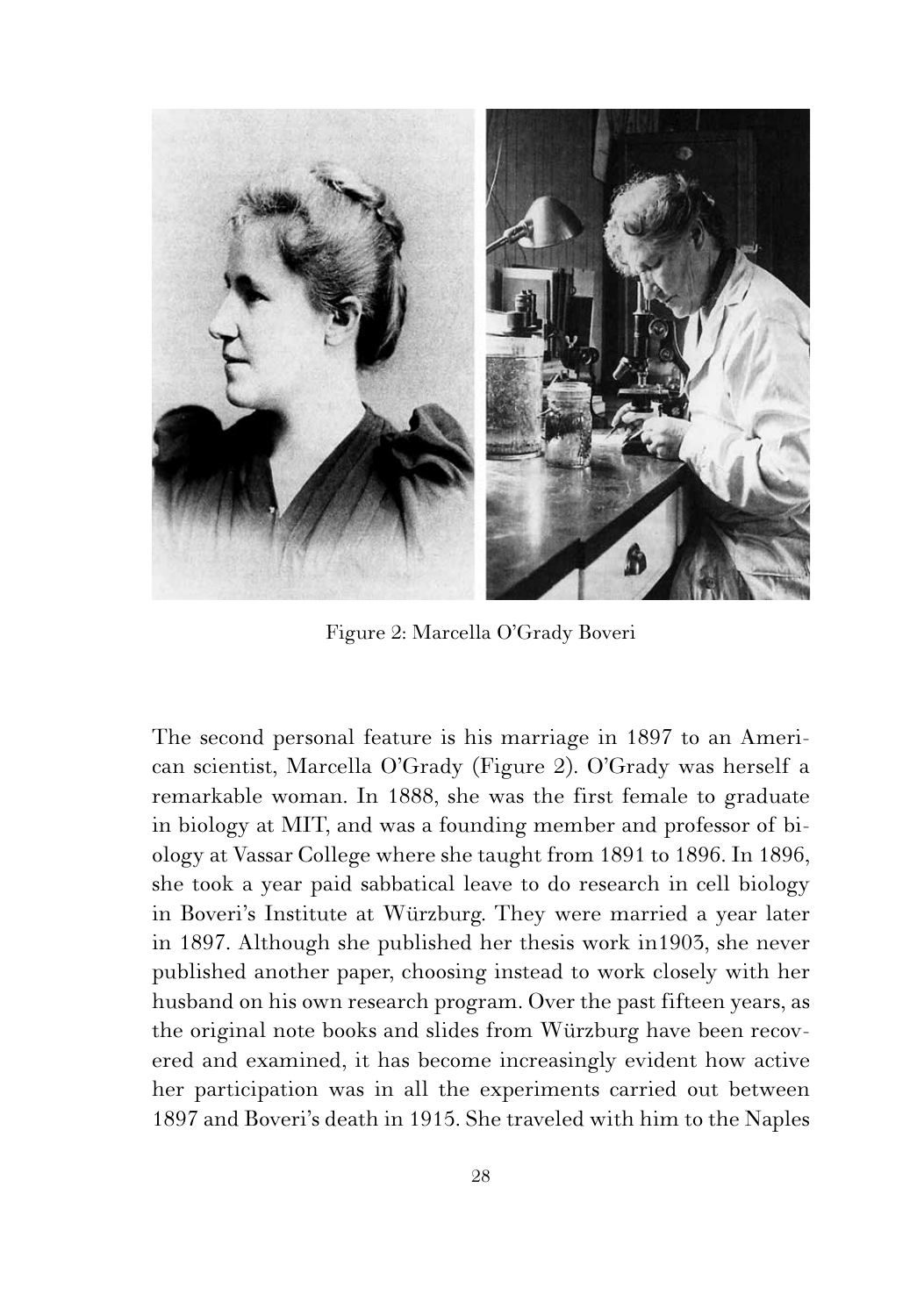

Figure 2: Marcella O'Grady Boveri

The second personal feature is his marriage in 1897 to an American scientist, Marcella O'Grady (Figure 2). O'Grady was herself a remarkable woman. In 1888, she was the first female to graduate in biology at MIT, and was a founding member and professor of biology at Vassar College where she taught from 1891 to 1896. In 1896, she took a year paid sabbatical leave to do research in cell biology in Boveri's Institute at Würzburg. They were married a year later in 1897. Although she published her thesis work in1903, she never published another paper, choosing instead to work closely with her husband on his own research program. Over the past fifteen years, as the original note books and slides from Würzburg have been recovered and examined, it has become increasingly evident how active her participation was in all the experiments carried out between 1897 and Boveri's death in 1915. She traveled with him to the Naples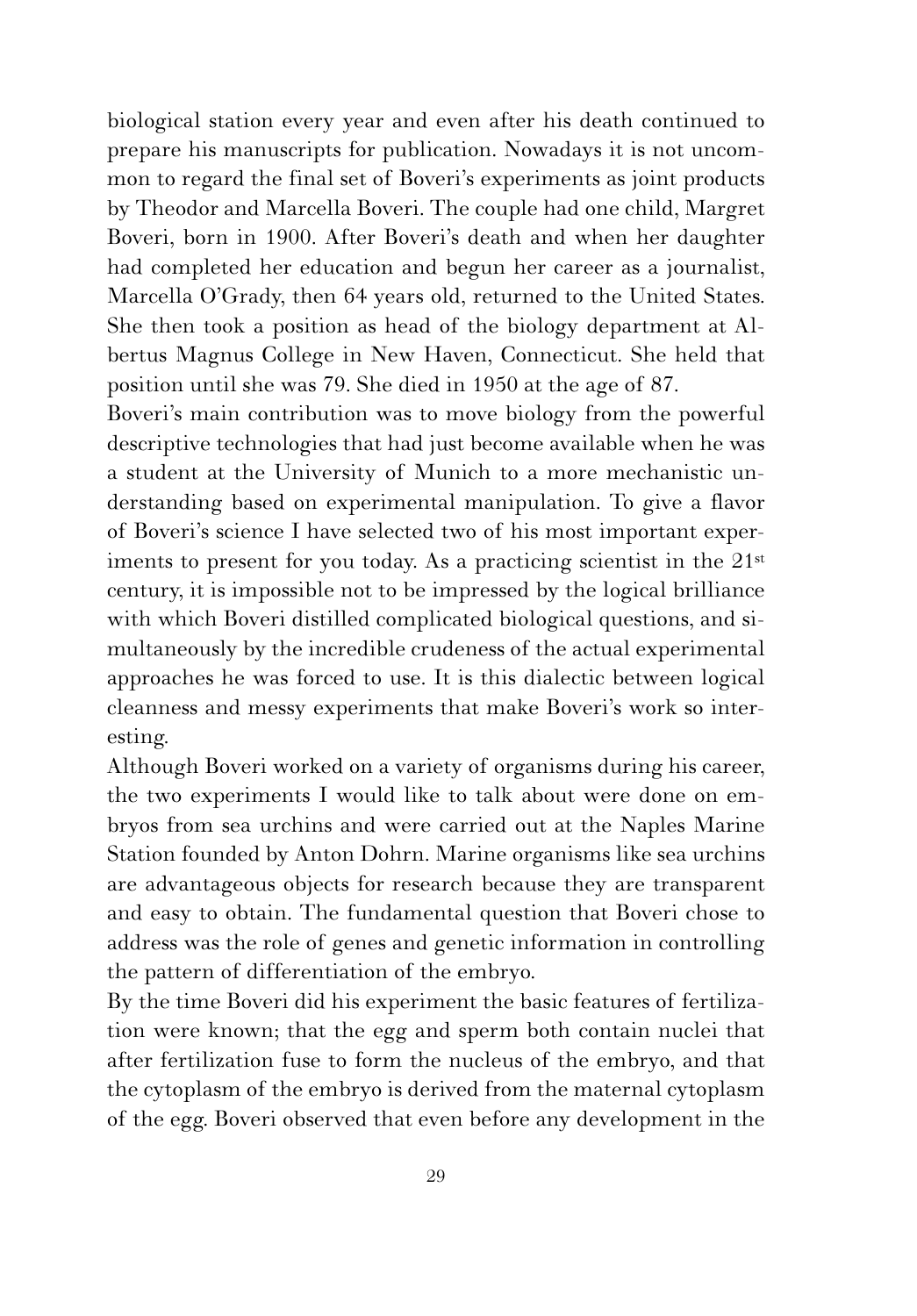biological station every year and even after his death continued to prepare his manuscripts for publication. Nowadays it is not uncommon to regard the final set of Boveri's experiments as joint products by Theodor and Marcella Boveri. The couple had one child, Margret Boveri, born in 1900. After Boveri's death and when her daughter had completed her education and begun her career as a journalist, Marcella O'Grady, then 64 years old, returned to the United States. She then took a position as head of the biology department at Albertus Magnus College in New Haven, Connecticut. She held that position until she was 79. She died in 1950 at the age of 87.

Boveri's main contribution was to move biology from the powerful descriptive technologies that had just become available when he was a student at the University of Munich to a more mechanistic understanding based on experimental manipulation. To give a flavor of Boveri's science I have selected two of his most important experiments to present for you today. As a practicing scientist in the 21<sup>st</sup> century, it is impossible not to be impressed by the logical brilliance with which Boveri distilled complicated biological questions, and simultaneously by the incredible crudeness of the actual experimental approaches he was forced to use. It is this dialectic between logical cleanness and messy experiments that make Boveri's work so interesting.

Although Boveri worked on a variety of organisms during his career, the two experiments I would like to talk about were done on embryos from sea urchins and were carried out at the Naples Marine Station founded by Anton Dohrn. Marine organisms like sea urchins are advantageous objects for research because they are transparent and easy to obtain. The fundamental question that Boveri chose to address was the role of genes and genetic information in controlling the pattern of differentiation of the embryo.

By the time Boveri did his experiment the basic features of fertilization were known; that the egg and sperm both contain nuclei that after fertilization fuse to form the nucleus of the embryo, and that the cytoplasm of the embryo is derived from the maternal cytoplasm of the egg. Boveri observed that even before any development in the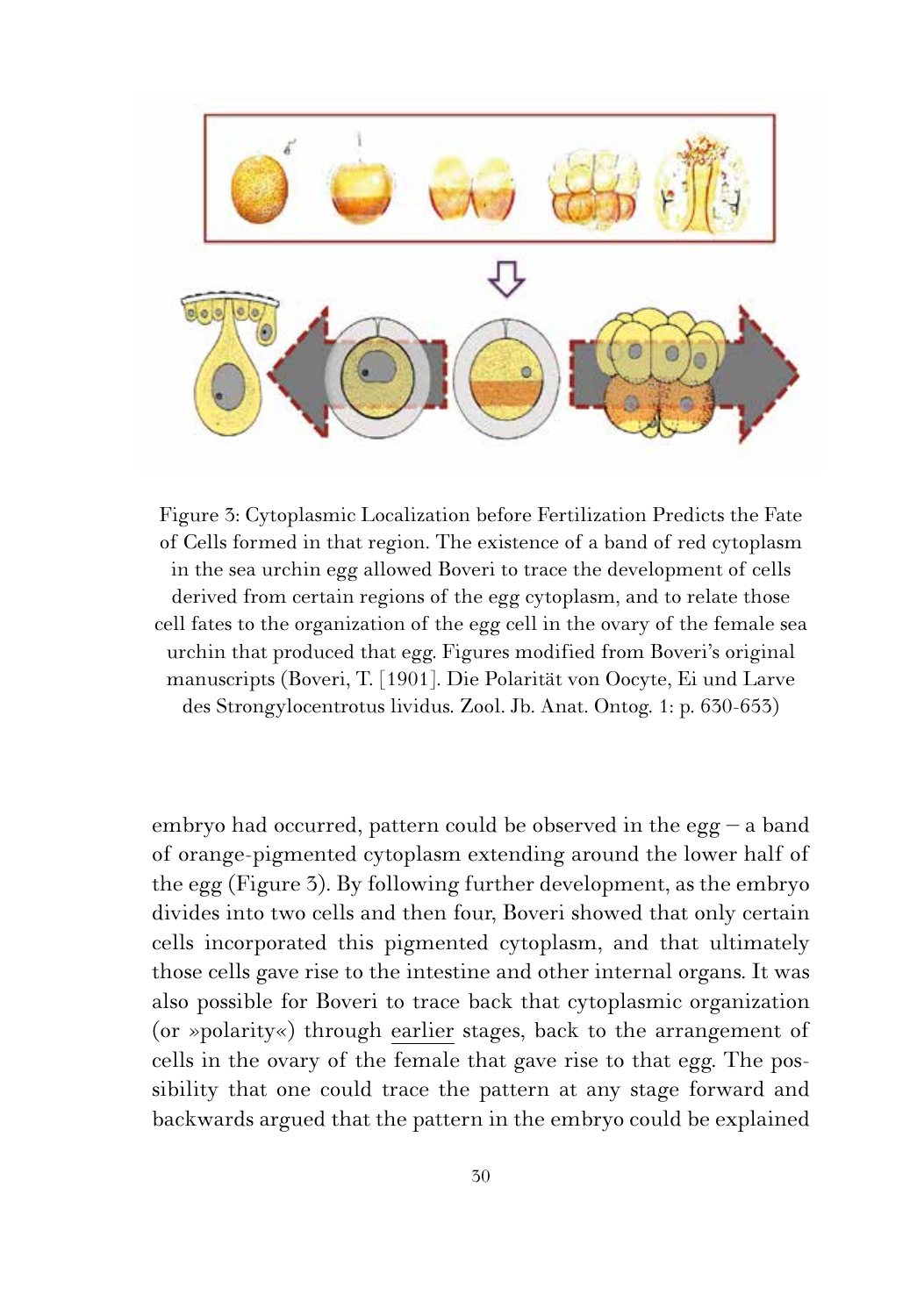

Figure 3: Cytoplasmic Localization before Fertilization Predicts the Fate of Cells formed in that region. The existence of a band of red cytoplasm in the sea urchin egg allowed Boveri to trace the development of cells derived from certain regions of the egg cytoplasm, and to relate those cell fates to the organization of the egg cell in the ovary of the female sea urchin that produced that egg. Figures modified from Boveri's original manuscripts (Boveri, T. [1901]. Die Polarität von Oocyte, Ei und Larve des Strongylocentrotus lividus. Zool. Jb. Anat. Ontog. 1: p. 630-653)

embryo had occurred, pattern could be observed in the egg  $-$  a band of orange-pigmented cytoplasm extending around the lower half of the egg (Figure 3). By following further development, as the embryo divides into two cells and then four, Boveri showed that only certain cells incorporated this pigmented cytoplasm, and that ultimately those cells gave rise to the intestine and other internal organs. It was also possible for Boveri to trace back that cytoplasmic organization (or »polarity«) through earlier stages, back to the arrangement of cells in the ovary of the female that gave rise to that egg. The possibility that one could trace the pattern at any stage forward and backwards argued that the pattern in the embryo could be explained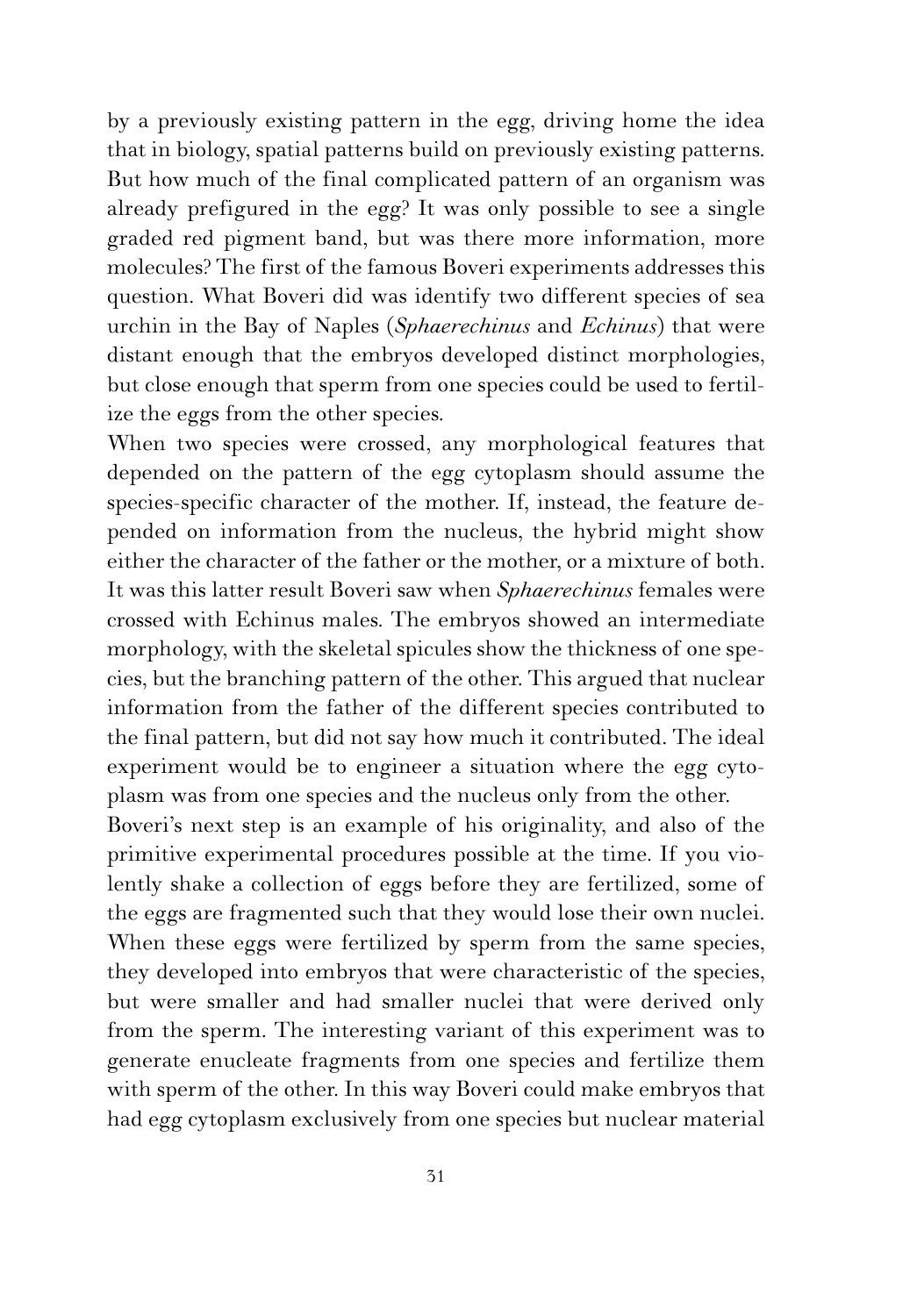by a previously existing pattern in the egg, driving home the idea that in biology, spatial patterns build on previously existing patterns. But how much of the final complicated pattern of an organism was already prefigured in the egg? It was only possible to see a single graded red pigment band, but was there more information, more molecules? The first of the famous Boveri experiments addresses this question. What Boveri did was identify two different species of sea urchin in the Bay of Naples (*Sphaerechinus* and *Echinus*) that were distant enough that the embryos developed distinct morphologies, but close enough that sperm from one species could be used to fertilize the eggs from the other species.

When two species were crossed, any morphological features that depended on the pattern of the egg cytoplasm should assume the species-specific character of the mother. If, instead, the feature depended on information from the nucleus, the hybrid might show either the character of the father or the mother, or a mixture of both. It was this latter result Boveri saw when *Sphaerechinus* females were crossed with Echinus males. The embryos showed an intermediate morphology, with the skeletal spicules show the thickness of one species, but the branching pattern of the other. This argued that nuclear information from the father of the different species contributed to the final pattern, but did not say how much it contributed. The ideal experiment would be to engineer a situation where the egg cytoplasm was from one species and the nucleus only from the other.

Boveri's next step is an example of his originality, and also of the primitive experimental procedures possible at the time. If you violently shake a collection of eggs before they are fertilized, some of the eggs are fragmented such that they would lose their own nuclei. When these eggs were fertilized by sperm from the same species, they developed into embryos that were characteristic of the species, but were smaller and had smaller nuclei that were derived only from the sperm. The interesting variant of this experiment was to generate enucleate fragments from one species and fertilize them with sperm of the other. In this way Boveri could make embryos that had egg cytoplasm exclusively from one species but nuclear material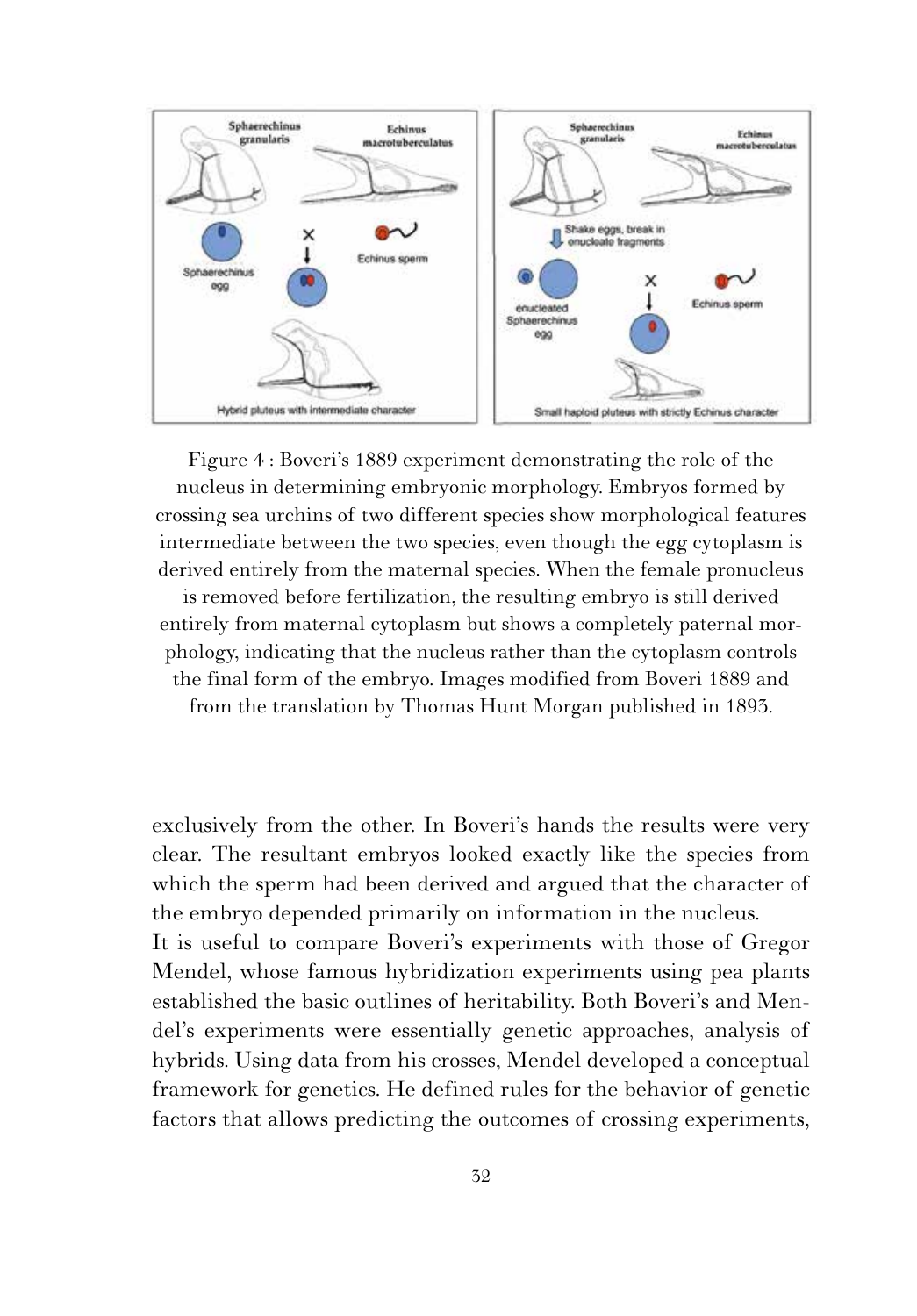

Figure 4 : Boveri's 1889 experiment demonstrating the role of the nucleus in determining embryonic morphology. Embryos formed by crossing sea urchins of two different species show morphological features intermediate between the two species, even though the egg cytoplasm is derived entirely from the maternal species. When the female pronucleus is removed before fertilization, the resulting embryo is still derived entirely from maternal cytoplasm but shows a completely paternal morphology, indicating that the nucleus rather than the cytoplasm controls the final form of the embryo. Images modified from Boveri 1889 and

from the translation by Thomas Hunt Morgan published in 1893.

exclusively from the other. In Boveri's hands the results were very clear. The resultant embryos looked exactly like the species from which the sperm had been derived and argued that the character of the embryo depended primarily on information in the nucleus. It is useful to compare Boveri's experiments with those of Gregor Mendel, whose famous hybridization experiments using pea plants established the basic outlines of heritability. Both Boveri's and Mendel's experiments were essentially genetic approaches, analysis of hybrids. Using data from his crosses, Mendel developed a conceptual framework for genetics. He defined rules for the behavior of genetic factors that allows predicting the outcomes of crossing experiments,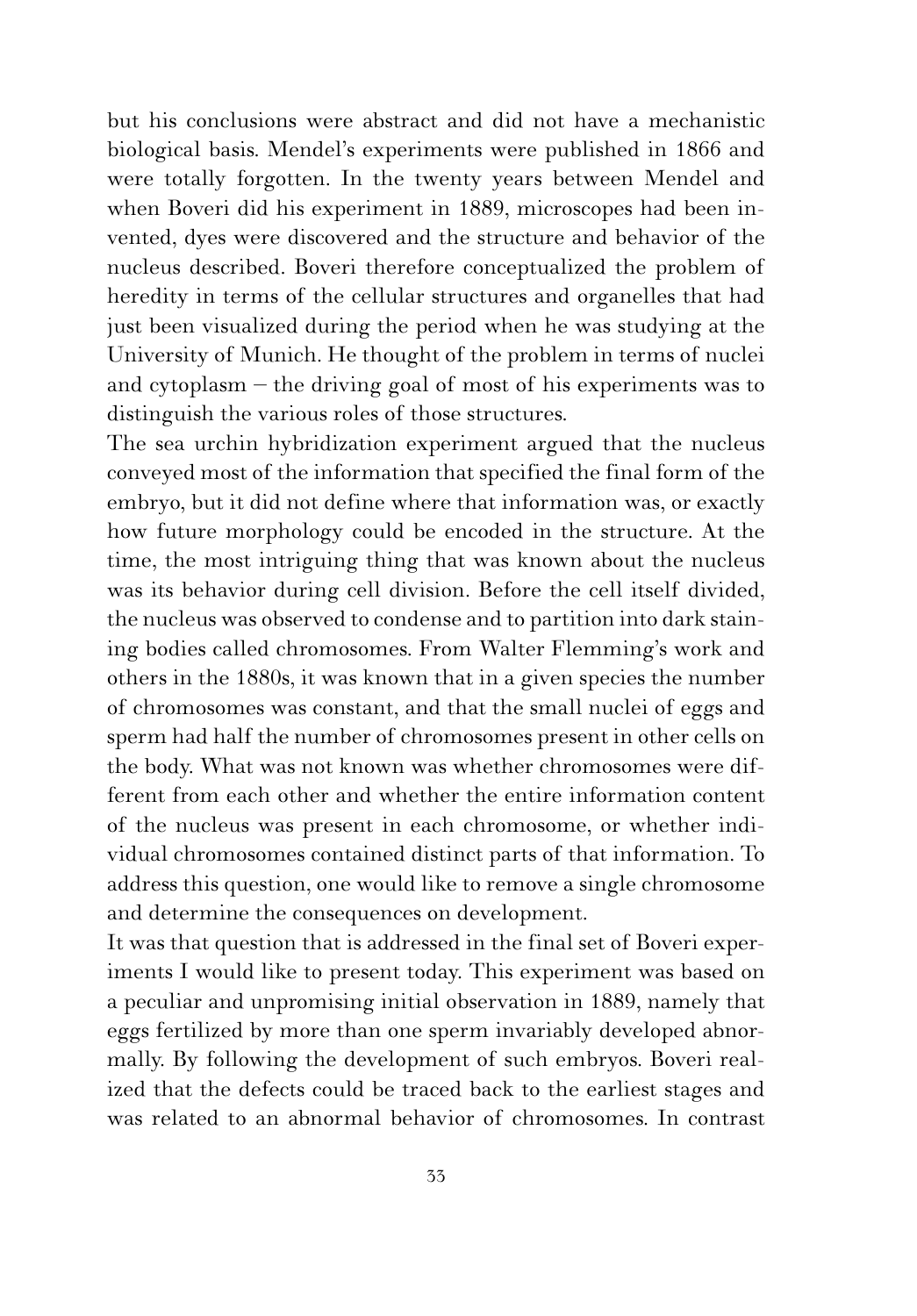but his conclusions were abstract and did not have a mechanistic biological basis. Mendel's experiments were published in 1866 and were totally forgotten. In the twenty years between Mendel and when Boveri did his experiment in 1889, microscopes had been invented, dyes were discovered and the structure and behavior of the nucleus described. Boveri therefore conceptualized the problem of heredity in terms of the cellular structures and organelles that had just been visualized during the period when he was studying at the University of Munich. He thought of the problem in terms of nuclei and cytoplasm – the driving goal of most of his experiments was to distinguish the various roles of those structures.

The sea urchin hybridization experiment argued that the nucleus conveyed most of the information that specified the final form of the embryo, but it did not define where that information was, or exactly how future morphology could be encoded in the structure. At the time, the most intriguing thing that was known about the nucleus was its behavior during cell division. Before the cell itself divided, the nucleus was observed to condense and to partition into dark staining bodies called chromosomes. From Walter Flemming's work and others in the 1880s, it was known that in a given species the number of chromosomes was constant, and that the small nuclei of eggs and sperm had half the number of chromosomes present in other cells on the body. What was not known was whether chromosomes were different from each other and whether the entire information content of the nucleus was present in each chromosome, or whether individual chromosomes contained distinct parts of that information. To address this question, one would like to remove a single chromosome and determine the consequences on development.

It was that question that is addressed in the final set of Boveri experiments I would like to present today. This experiment was based on a peculiar and unpromising initial observation in 1889, namely that eggs fertilized by more than one sperm invariably developed abnormally. By following the development of such embryos. Boveri realized that the defects could be traced back to the earliest stages and was related to an abnormal behavior of chromosomes. In contrast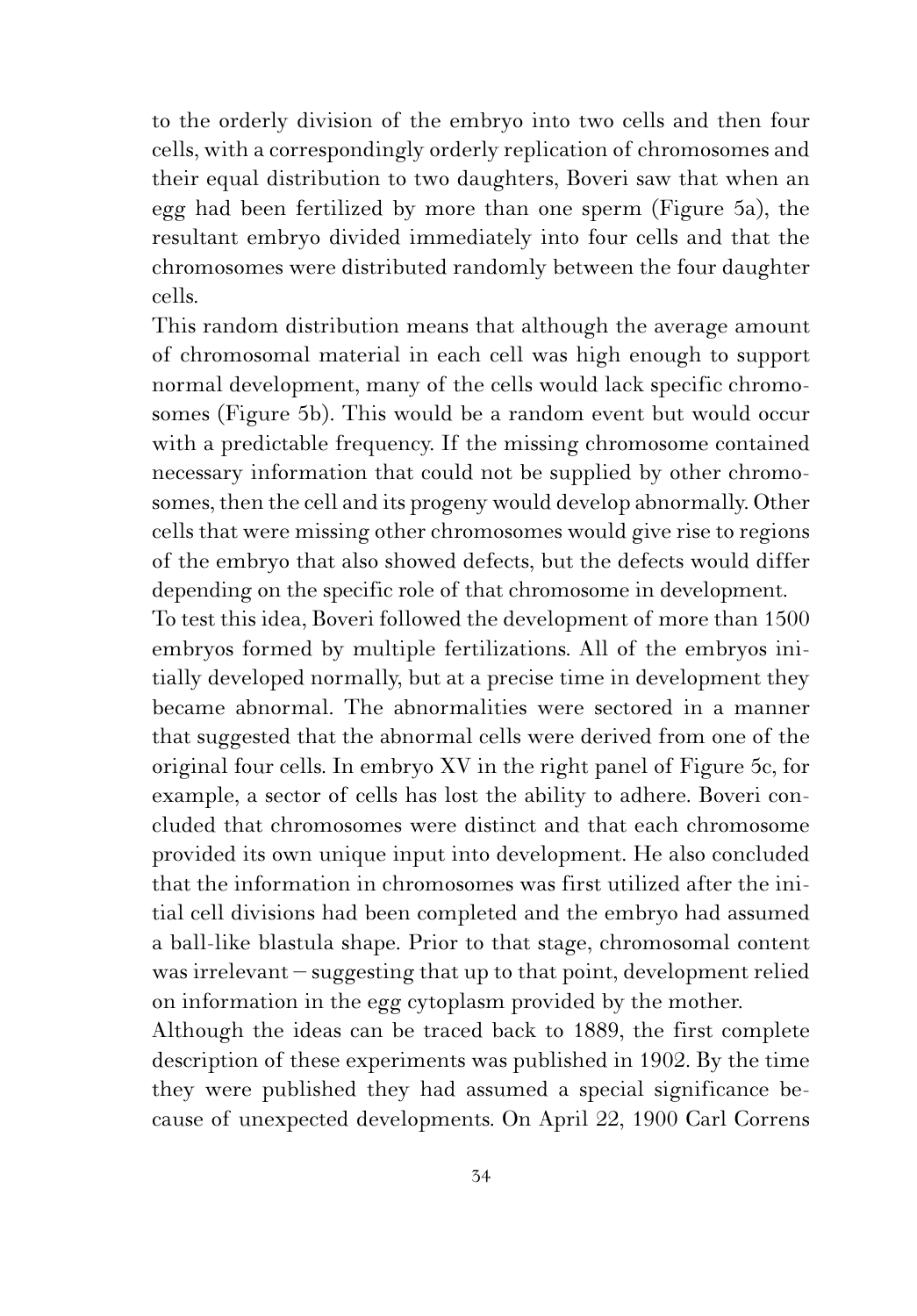to the orderly division of the embryo into two cells and then four cells, with a correspondingly orderly replication of chromosomes and their equal distribution to two daughters, Boveri saw that when an egg had been fertilized by more than one sperm (Figure 5a), the resultant embryo divided immediately into four cells and that the chromosomes were distributed randomly between the four daughter cells.

This random distribution means that although the average amount of chromosomal material in each cell was high enough to support normal development, many of the cells would lack specific chromosomes (Figure 5b). This would be a random event but would occur with a predictable frequency. If the missing chromosome contained necessary information that could not be supplied by other chromosomes, then the cell and its progeny would develop abnormally. Other cells that were missing other chromosomes would give rise to regions of the embryo that also showed defects, but the defects would differ depending on the specific role of that chromosome in development.

To test this idea, Boveri followed the development of more than 1500 embryos formed by multiple fertilizations. All of the embryos initially developed normally, but at a precise time in development they became abnormal. The abnormalities were sectored in a manner that suggested that the abnormal cells were derived from one of the original four cells. In embryo XV in the right panel of Figure 5c, for example, a sector of cells has lost the ability to adhere. Boveri concluded that chromosomes were distinct and that each chromosome provided its own unique input into development. He also concluded that the information in chromosomes was first utilized after the initial cell divisions had been completed and the embryo had assumed a ball-like blastula shape. Prior to that stage, chromosomal content was irrelevant – suggesting that up to that point, development relied on information in the egg cytoplasm provided by the mother.

Although the ideas can be traced back to 1889, the first complete description of these experiments was published in 1902. By the time they were published they had assumed a special significance because of unexpected developments. On April 22, 1900 Carl Correns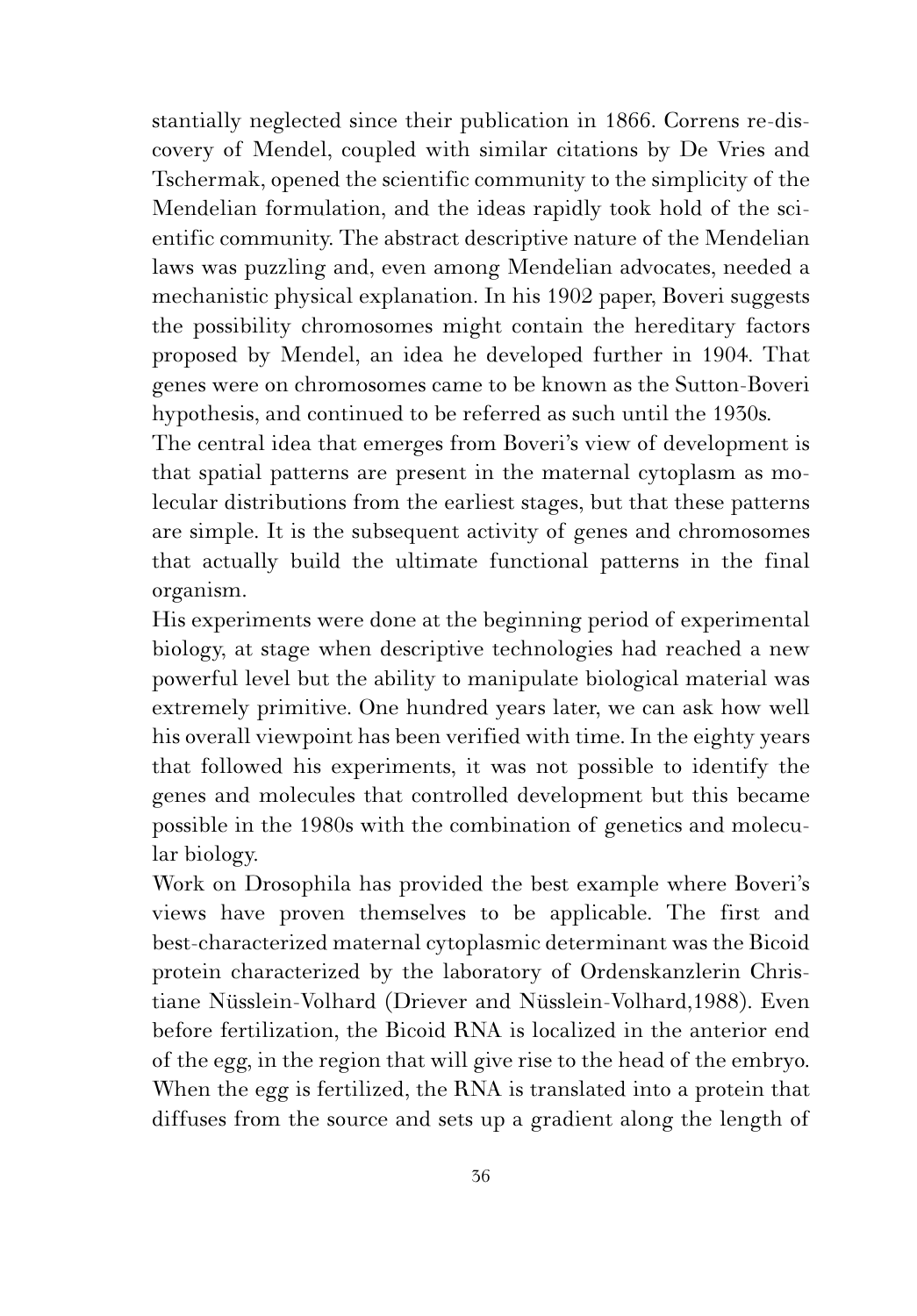stantially neglected since their publication in 1866. Correns re-discovery of Mendel, coupled with similar citations by De Vries and Tschermak, opened the scientific community to the simplicity of the Mendelian formulation, and the ideas rapidly took hold of the scientific community. The abstract descriptive nature of the Mendelian laws was puzzling and, even among Mendelian advocates, needed a mechanistic physical explanation. In his 1902 paper, Boveri suggests the possibility chromosomes might contain the hereditary factors proposed by Mendel, an idea he developed further in 1904. That genes were on chromosomes came to be known as the Sutton-Boveri hypothesis, and continued to be referred as such until the 1930s.

The central idea that emerges from Boveri's view of development is that spatial patterns are present in the maternal cytoplasm as molecular distributions from the earliest stages, but that these patterns are simple. It is the subsequent activity of genes and chromosomes that actually build the ultimate functional patterns in the final organism.

His experiments were done at the beginning period of experimental biology, at stage when descriptive technologies had reached a new powerful level but the ability to manipulate biological material was extremely primitive. One hundred years later, we can ask how well his overall viewpoint has been verified with time. In the eighty years that followed his experiments, it was not possible to identify the genes and molecules that controlled development but this became possible in the 1980s with the combination of genetics and molecular biology.

Work on Drosophila has provided the best example where Boveri's views have proven themselves to be applicable. The first and best-characterized maternal cytoplasmic determinant was the Bicoid protein characterized by the laboratory of Ordenskanzlerin Christiane Nüsslein-Volhard (Driever and Nüsslein-Volhard,1988). Even before fertilization, the Bicoid RNA is localized in the anterior end of the egg, in the region that will give rise to the head of the embryo. When the egg is fertilized, the RNA is translated into a protein that diffuses from the source and sets up a gradient along the length of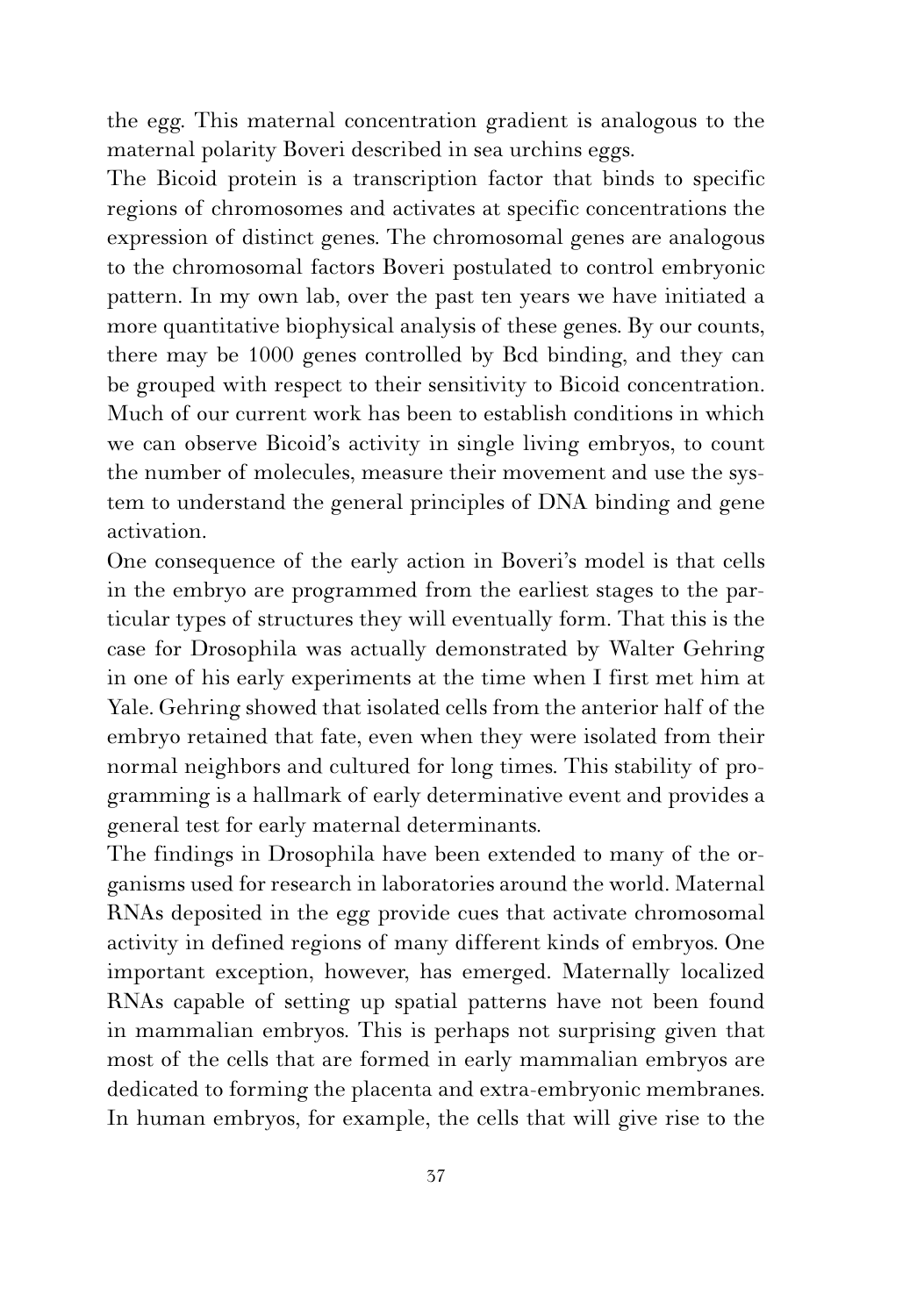the egg. This maternal concentration gradient is analogous to the maternal polarity Boveri described in sea urchins eggs.

The Bicoid protein is a transcription factor that binds to specific regions of chromosomes and activates at specific concentrations the expression of distinct genes. The chromosomal genes are analogous to the chromosomal factors Boveri postulated to control embryonic pattern. In my own lab, over the past ten years we have initiated a more quantitative biophysical analysis of these genes. By our counts, there may be 1000 genes controlled by Bcd binding, and they can be grouped with respect to their sensitivity to Bicoid concentration. Much of our current work has been to establish conditions in which we can observe Bicoid's activity in single living embryos, to count the number of molecules, measure their movement and use the system to understand the general principles of DNA binding and gene activation.

One consequence of the early action in Boveri's model is that cells in the embryo are programmed from the earliest stages to the particular types of structures they will eventually form. That this is the case for Drosophila was actually demonstrated by Walter Gehring in one of his early experiments at the time when I first met him at Yale. Gehring showed that isolated cells from the anterior half of the embryo retained that fate, even when they were isolated from their normal neighbors and cultured for long times. This stability of programming is a hallmark of early determinative event and provides a general test for early maternal determinants.

The findings in Drosophila have been extended to many of the organisms used for research in laboratories around the world. Maternal RNAs deposited in the egg provide cues that activate chromosomal activity in defined regions of many different kinds of embryos. One important exception, however, has emerged. Maternally localized RNAs capable of setting up spatial patterns have not been found in mammalian embryos. This is perhaps not surprising given that most of the cells that are formed in early mammalian embryos are dedicated to forming the placenta and extra-embryonic membranes. In human embryos, for example, the cells that will give rise to the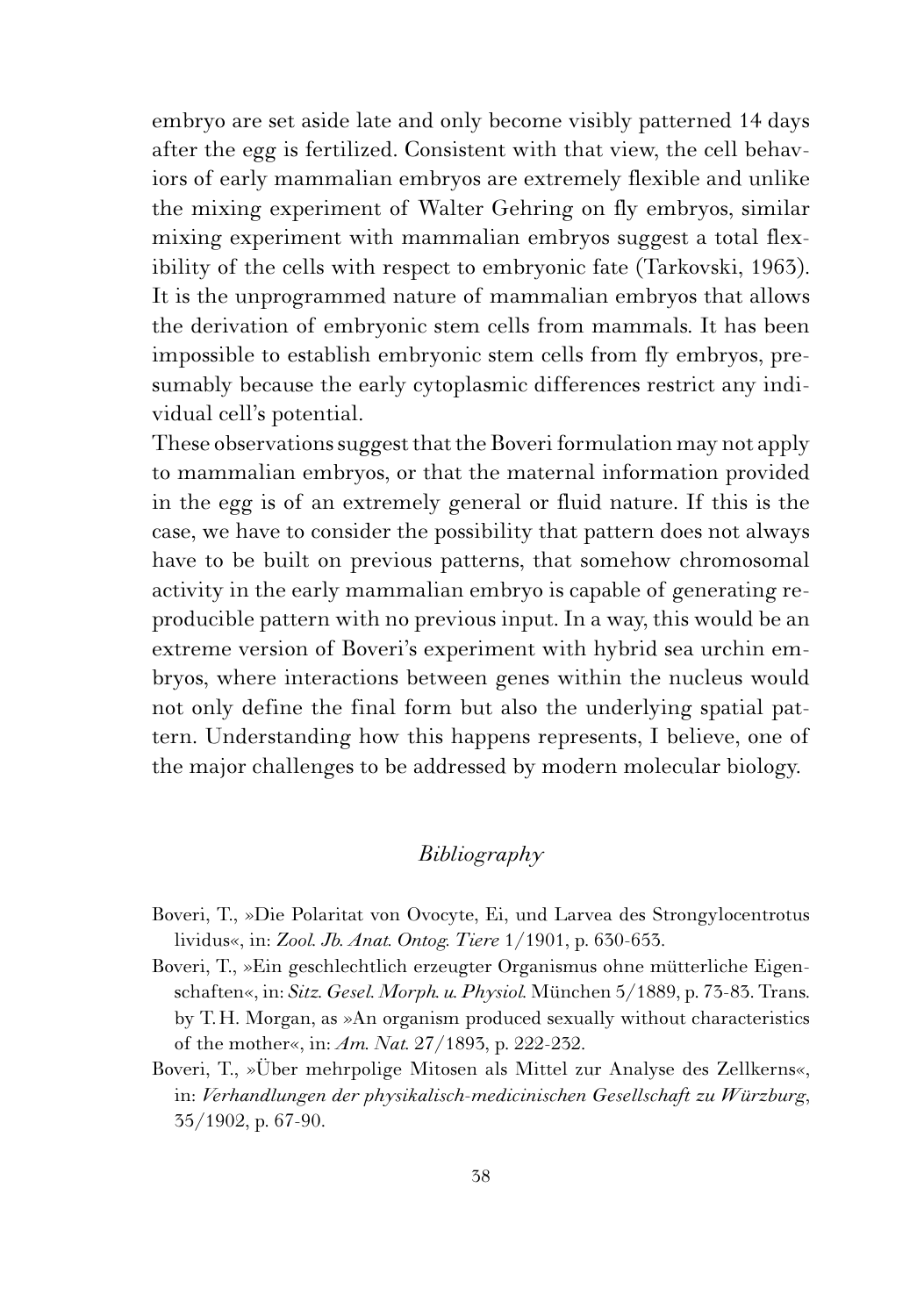embryo are set aside late and only become visibly patterned 14 days after the egg is fertilized. Consistent with that view, the cell behaviors of early mammalian embryos are extremely flexible and unlike the mixing experiment of Walter Gehring on fly embryos, similar mixing experiment with mammalian embryos suggest a total flexibility of the cells with respect to embryonic fate (Tarkovski, 1963). It is the unprogrammed nature of mammalian embryos that allows the derivation of embryonic stem cells from mammals. It has been impossible to establish embryonic stem cells from fly embryos, presumably because the early cytoplasmic differences restrict any individual cell's potential.

These observations suggest that the Boveri formulation may not apply to mammalian embryos, or that the maternal information provided in the egg is of an extremely general or fluid nature. If this is the case, we have to consider the possibility that pattern does not always have to be built on previous patterns, that somehow chromosomal activity in the early mammalian embryo is capable of generating reproducible pattern with no previous input. In a way, this would be an extreme version of Boveri's experiment with hybrid sea urchin embryos, where interactions between genes within the nucleus would not only define the final form but also the underlying spatial pattern. Understanding how this happens represents, I believe, one of the major challenges to be addressed by modern molecular biology.

## *Bibliography*

- Boveri, T., »Die Polaritat von Ovocyte, Ei, und Larvea des Strongylocentrotus lividus«, in: *Zool. Jb. Anat. Ontog. Tiere* 1/1901, p. 630-653.
- Boveri, T., »Ein geschlechtlich erzeugter Organismus ohne mütterliche Eigenschaften«, in: *Sitz. Gesel. Morph. u. Physiol.* München 5/1889, p. 73-83. Trans. by T.H. Morgan, as »An organism produced sexually without characteristics of the mother«, in: *Am. Nat.* 27/1893, p. 222-232.
- Boveri, T., »Über mehrpolige Mitosen als Mittel zur Analyse des Zellkerns«, in: *Verhandlungen der physikalisch-medicinischen Gesellschaft zu Würzburg*, 35/1902, p. 67-90.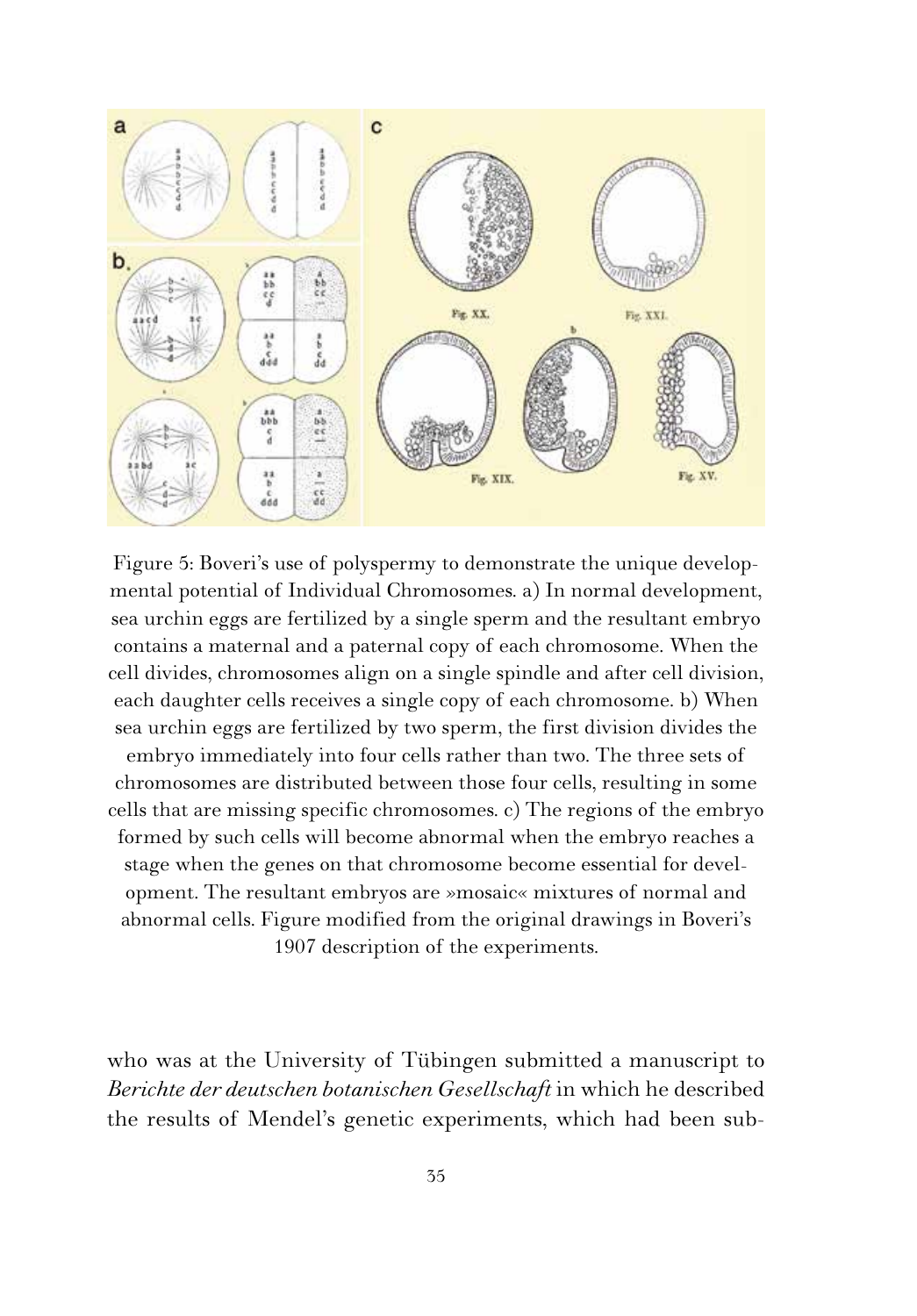

Figure 5: Boveri's use of polyspermy to demonstrate the unique developmental potential of Individual Chromosomes. a) In normal development, sea urchin eggs are fertilized by a single sperm and the resultant embryo contains a maternal and a paternal copy of each chromosome. When the cell divides, chromosomes align on a single spindle and after cell division, each daughter cells receives a single copy of each chromosome. b) When sea urchin eggs are fertilized by two sperm, the first division divides the embryo immediately into four cells rather than two. The three sets of chromosomes are distributed between those four cells, resulting in some cells that are missing specific chromosomes. c) The regions of the embryo formed by such cells will become abnormal when the embryo reaches a stage when the genes on that chromosome become essential for development. The resultant embryos are »mosaic« mixtures of normal and abnormal cells. Figure modified from the original drawings in Boveri's 1907 description of the experiments.

who was at the University of Tübingen submitted a manuscript to *Berichte der deutschen botanischen Gesellschaft* in which he described the results of Mendel's genetic experiments, which had been sub-